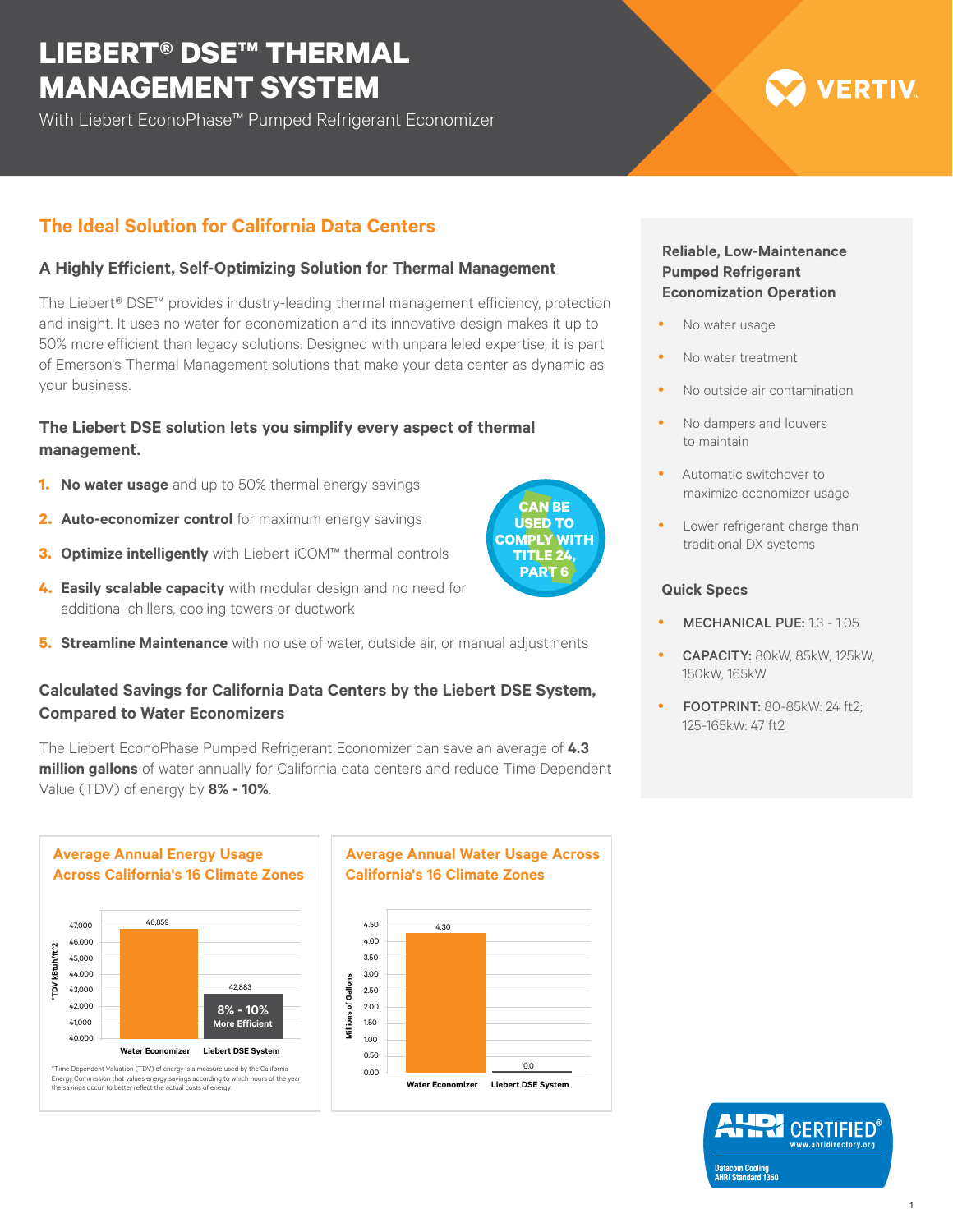# **LIEBERT® DSE™ THERMAL MANAGEMENT SYSTEM**

With Liebert EconoPhase™ Pumped Refrigerant Economizer

# **The Ideal Solution for California Data Centers**

## **A Highly Efficient, Self-Optimizing Solution for Thermal Management**

The Liebert® DSE™ provides industry-leading thermal management efficiency, protection and insight. It uses no water for economization and its innovative design makes it up to 50% more efficient than legacy solutions. Designed with unparalleled expertise, it is part of Emerson's Thermal Management solutions that make your data center as dynamic as your business.

## **The Liebert DSE solution lets you simplify every aspect of thermal management.**

- **1. No water usage** and up to 50% thermal energy savings
- **2. Auto-economizer control** for maximum energy savings
- **3. Optimize intelligently** with Liebert iCOM™ thermal controls
- **4. Easily scalable capacity** with modular design and no need for additional chillers, cooling towers or ductwork
- **5. Streamline Maintenance** with no use of water, outside air, or manual adjustments

## **Calculated Savings for California Data Centers by the Liebert DSE System, Compared to Water Economizers**

The Liebert EconoPhase Pumped Refrigerant Economizer can save an average of **4.3 million gallons** of water annually for California data centers and reduce Time Dependent Value (TDV) of energy by **8% - 10%**.



**Water Economizer Liebert DSE System** \*Time Dependent Valuation (TDV) of energy is a measure used by the California Energy Commission that values energy savings according to which hours of the year the savings occur, to better reflect the actual costs of energy.

40,000

# **Average Annual Water Usage Across California's 16 Climate Zones**



## **Reliable, Low-Maintenance Pumped Refrigerant Economization Operation**

**VERTIV** 

- No water usage
- No water treatment
- No outside air contamination
- No dampers and louvers to maintain
- Automatic switchover to maximize economizer usage
- Lower refrigerant charge than traditional DX systems

#### **Quick Specs**

- MECHANICAL PUE: 1.3 1.05
- y CAPACITY: 80kW, 85kW, 125kW, 150kW, 165kW
- **FOOTPRINT: 80-85kW: 24 ft2:** 125-165kW: 47 ft2